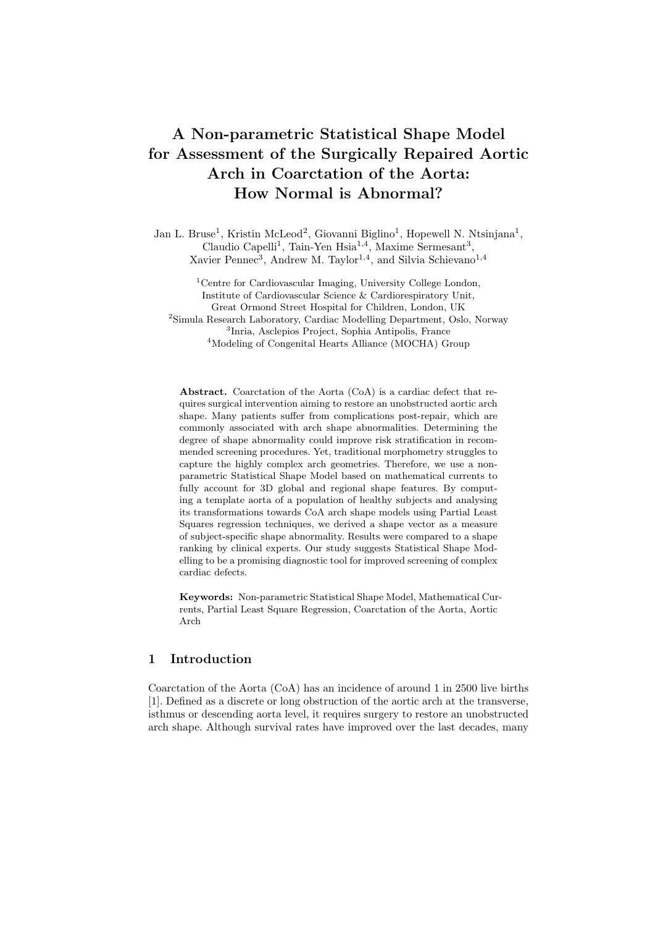# A Non-parametric Statistical Shape Model for Assessment of the Surgically Repaired Aortic Arch in Coarctation of the Aorta: How Normal is Abnormal?

Jan L. Bruse<sup>1</sup>, Kristin McLeod<sup>2</sup>, Giovanni Biglino<sup>1</sup>, Hopewell N. Ntsinjana<sup>1</sup>, Claudio Capelli<sup>1</sup>, Tain-Yen Hsia<sup>1,4</sup>, Maxime Sermesant<sup>3</sup>, Xavier Pennec<sup>3</sup>, Andrew M. Taylor<sup>1,4</sup>, and Silvia Schievano<sup>1,4</sup>

<sup>1</sup>Centre for Cardiovascular Imaging, University College London, Institute of Cardiovascular Science & Cardiorespiratory Unit, Great Ormond Street Hospital for Children, London, UK <sup>2</sup>Simula Research Laboratory, Cardiac Modelling Department, Oslo, Norway 3 Inria, Asclepios Project, Sophia Antipolis, France <sup>4</sup>Modeling of Congenital Hearts Alliance (MOCHA) Group

Abstract. Coarctation of the Aorta (CoA) is a cardiac defect that requires surgical intervention aiming to restore an unobstructed aortic arch shape. Many patients suffer from complications post-repair, which are commonly associated with arch shape abnormalities. Determining the degree of shape abnormality could improve risk stratification in recommended screening procedures. Yet, traditional morphometry struggles to capture the highly complex arch geometries. Therefore, we use a nonparametric Statistical Shape Model based on mathematical currents to fully account for 3D global and regional shape features. By computing a template aorta of a population of healthy subjects and analysing its transformations towards CoA arch shape models using Partial Least Squares regression techniques, we derived a shape vector as a measure of subject-specific shape abnormality. Results were compared to a shape ranking by clinical experts. Our study suggests Statistical Shape Modelling to be a promising diagnostic tool for improved screening of complex cardiac defects.

Keywords: Non-parametric Statistical Shape Model, Mathematical Currents, Partial Least Square Regression, Coarctation of the Aorta, Aortic Arch

# 1 Introduction

Coarctation of the Aorta (CoA) has an incidence of around 1 in 2500 live births [1]. Defined as a discrete or long obstruction of the aortic arch at the transverse, isthmus or descending aorta level, it requires surgery to restore an unobstructed arch shape. Although survival rates have improved over the last decades, many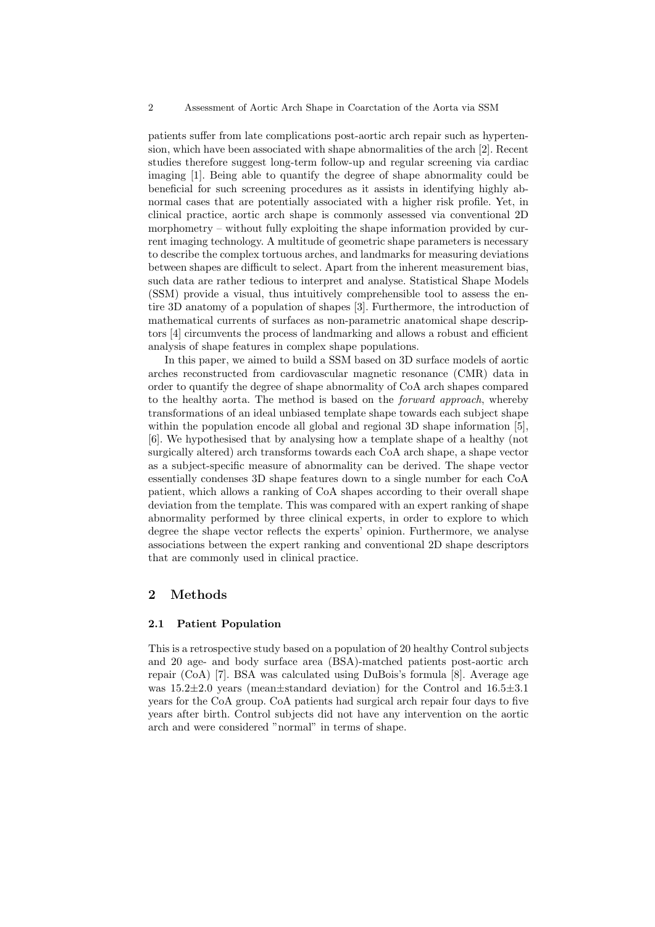patients suffer from late complications post-aortic arch repair such as hypertension, which have been associated with shape abnormalities of the arch [2]. Recent studies therefore suggest long-term follow-up and regular screening via cardiac imaging [1]. Being able to quantify the degree of shape abnormality could be beneficial for such screening procedures as it assists in identifying highly abnormal cases that are potentially associated with a higher risk profile. Yet, in clinical practice, aortic arch shape is commonly assessed via conventional 2D morphometry – without fully exploiting the shape information provided by current imaging technology. A multitude of geometric shape parameters is necessary to describe the complex tortuous arches, and landmarks for measuring deviations between shapes are difficult to select. Apart from the inherent measurement bias, such data are rather tedious to interpret and analyse. Statistical Shape Models (SSM) provide a visual, thus intuitively comprehensible tool to assess the entire 3D anatomy of a population of shapes [3]. Furthermore, the introduction of mathematical currents of surfaces as non-parametric anatomical shape descriptors [4] circumvents the process of landmarking and allows a robust and efficient analysis of shape features in complex shape populations.

In this paper, we aimed to build a SSM based on 3D surface models of aortic arches reconstructed from cardiovascular magnetic resonance (CMR) data in order to quantify the degree of shape abnormality of CoA arch shapes compared to the healthy aorta. The method is based on the forward approach, whereby transformations of an ideal unbiased template shape towards each subject shape within the population encode all global and regional 3D shape information [5], [6]. We hypothesised that by analysing how a template shape of a healthy (not surgically altered) arch transforms towards each CoA arch shape, a shape vector as a subject-specific measure of abnormality can be derived. The shape vector essentially condenses 3D shape features down to a single number for each CoA patient, which allows a ranking of CoA shapes according to their overall shape deviation from the template. This was compared with an expert ranking of shape abnormality performed by three clinical experts, in order to explore to which degree the shape vector reflects the experts' opinion. Furthermore, we analyse associations between the expert ranking and conventional 2D shape descriptors that are commonly used in clinical practice.

## 2 Methods

#### 2.1 Patient Population

This is a retrospective study based on a population of 20 healthy Control subjects and 20 age- and body surface area (BSA)-matched patients post-aortic arch repair (CoA) [7]. BSA was calculated using DuBois's formula [8]. Average age was  $15.2 \pm 2.0$  years (mean $\pm$ standard deviation) for the Control and  $16.5 \pm 3.1$ years for the CoA group. CoA patients had surgical arch repair four days to five years after birth. Control subjects did not have any intervention on the aortic arch and were considered "normal" in terms of shape.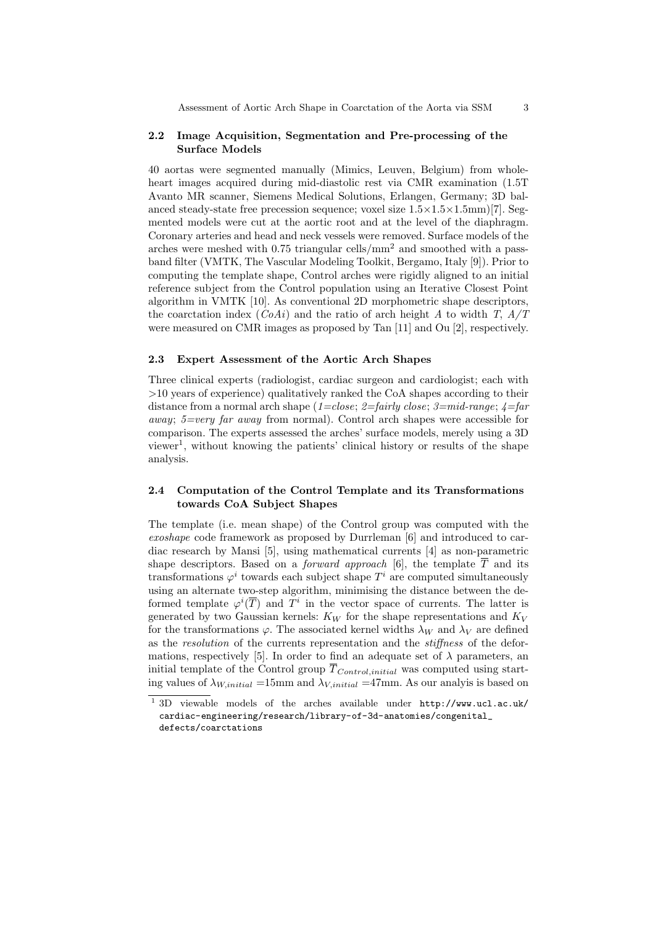#### 2.2 Image Acquisition, Segmentation and Pre-processing of the Surface Models

40 aortas were segmented manually (Mimics, Leuven, Belgium) from wholeheart images acquired during mid-diastolic rest via CMR examination (1.5T Avanto MR scanner, Siemens Medical Solutions, Erlangen, Germany; 3D balanced steady-state free precession sequence; voxel size  $1.5 \times 1.5 \times 1.5$ mm)[7]. Segmented models were cut at the aortic root and at the level of the diaphragm. Coronary arteries and head and neck vessels were removed. Surface models of the arches were meshed with  $0.75$  triangular cells/mm<sup>2</sup> and smoothed with a passband filter (VMTK, The Vascular Modeling Toolkit, Bergamo, Italy [9]). Prior to computing the template shape, Control arches were rigidly aligned to an initial reference subject from the Control population using an Iterative Closest Point algorithm in VMTK [10]. As conventional 2D morphometric shape descriptors, the coarctation index  $(CoAi)$  and the ratio of arch height A to width T,  $A/T$ were measured on CMR images as proposed by Tan [11] and Ou [2], respectively.

#### 2.3 Expert Assessment of the Aortic Arch Shapes

Three clinical experts (radiologist, cardiac surgeon and cardiologist; each with >10 years of experience) qualitatively ranked the CoA shapes according to their distance from a normal arch shape (1=close; 2=fairly close; 3=mid-range;  $4=$ far away; 5=very far away from normal). Control arch shapes were accessible for comparison. The experts assessed the arches' surface models, merely using a 3D viewer<sup>1</sup>, without knowing the patients' clinical history or results of the shape analysis.

## 2.4 Computation of the Control Template and its Transformations towards CoA Subject Shapes

The template (i.e. mean shape) of the Control group was computed with the exoshape code framework as proposed by Durrleman [6] and introduced to cardiac research by Mansi [5], using mathematical currents [4] as non-parametric shape descriptors. Based on a *forward approach* [6], the template  $\overline{T}$  and its transformations  $\varphi^i$  towards each subject shape  $T^i$  are computed simultaneously using an alternate two-step algorithm, minimising the distance between the deformed template  $\varphi^i(\overline{T})$  and  $T^i$  in the vector space of currents. The latter is generated by two Gaussian kernels:  $K_W$  for the shape representations and  $K_V$ for the transformations  $\varphi$ . The associated kernel widths  $\lambda_W$  and  $\lambda_V$  are defined as the resolution of the currents representation and the stiffness of the deformations, respectively [5]. In order to find an adequate set of  $\lambda$  parameters, an initial template of the Control group  $\overline{T}_{Control,initial}$  was computed using starting values of  $\lambda_{W,initial}$  =15mm and  $\lambda_{V,initial}$  =47mm. As our analyis is based on

<sup>&</sup>lt;sup>1</sup> 3D viewable models of the arches available under http://www.ucl.ac.uk/ cardiac-engineering/research/library-of-3d-anatomies/congenital\_ defects/coarctations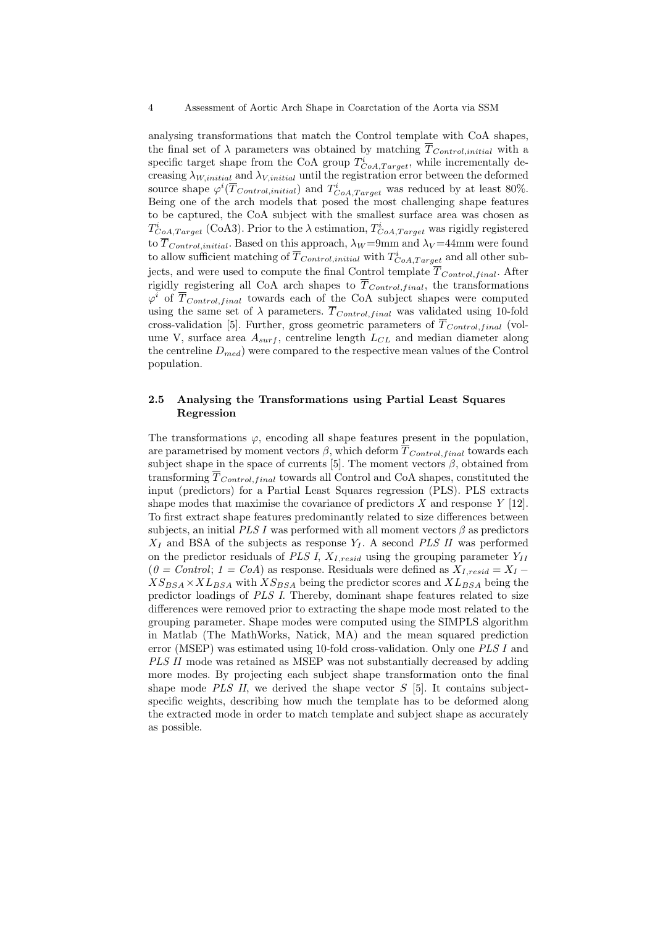analysing transformations that match the Control template with CoA shapes, the final set of  $\lambda$  parameters was obtained by matching  $\overline{T}_{Control,initial}$  with a specific target shape from the CoA group  $T_{CoA,Target}^i$ , while incrementally decreasing  $\lambda_{W,initial}$  and  $\lambda_{V,initial}$  until the registration error between the deformed source shape  $\varphi^i(\overline{T}_{Control,initial})$  and  $T_{CoA,Target}^i$  was reduced by at least 80%. Being one of the arch models that posed the most challenging shape features to be captured, the CoA subject with the smallest surface area was chosen as  $T_{CoA,Target}^i$  (CoA3). Prior to the  $\lambda$  estimation,  $T_{CoA,Target}^i$  was rigidly registered to  $\overline{T}_{Control.inital}$ . Based on this approach,  $\lambda_W = 9$ mm and  $\lambda_V = 44$ mm were found to allow sufficient matching of  $\overline{T}_{Control,initial}$  with  $T_{CoA,Target}^i$  and all other subjects, and were used to compute the final Control template  $\overline{T}_{Control, final}$ . After rigidly registering all CoA arch shapes to  $\overline{T}_{Control, final}$ , the transformations  $\varphi^i$  of  $\overline{T}_{Control, final}$  towards each of the CoA subject shapes were computed using the same set of  $\lambda$  parameters.  $T_{Control, final}$  was validated using 10-fold cross-validation [5]. Further, gross geometric parameters of  $\overline{T}_{Control, final}$  (volume V, surface area  $A_{surf}$ , centreline length  $L_{CL}$  and median diameter along the centreline  $D_{med}$ ) were compared to the respective mean values of the Control population.

#### 2.5 Analysing the Transformations using Partial Least Squares Regression

The transformations  $\varphi$ , encoding all shape features present in the population, are parametrised by moment vectors  $\beta$ , which deform  $\overline{T}_{Control, final}$  towards each subject shape in the space of currents [5]. The moment vectors  $\beta$ , obtained from transforming  $\overline{T}_{Control, final}$  towards all Control and CoA shapes, constituted the input (predictors) for a Partial Least Squares regression (PLS). PLS extracts shape modes that maximise the covariance of predictors  $X$  and response  $Y$  [12]. To first extract shape features predominantly related to size differences between subjects, an initial PLS I was performed with all moment vectors  $\beta$  as predictors  $X_I$  and BSA of the subjects as response  $Y_I$ . A second PLS II was performed on the predictor residuals of PLS I,  $X_{I,resid}$  using the grouping parameter  $Y_{II}$  $(0 = Control; 1 = CoA)$  as response. Residuals were defined as  $X_{I,resid} = X_I XS_{BSA} \times XL_{BSA}$  with  $XS_{BSA}$  being the predictor scores and  $XL_{BSA}$  being the predictor loadings of PLS I. Thereby, dominant shape features related to size differences were removed prior to extracting the shape mode most related to the grouping parameter. Shape modes were computed using the SIMPLS algorithm in Matlab (The MathWorks, Natick, MA) and the mean squared prediction error (MSEP) was estimated using 10-fold cross-validation. Only one PLS I and PLS II mode was retained as MSEP was not substantially decreased by adding more modes. By projecting each subject shape transformation onto the final shape mode PLS II, we derived the shape vector  $S$  [5]. It contains subjectspecific weights, describing how much the template has to be deformed along the extracted mode in order to match template and subject shape as accurately as possible.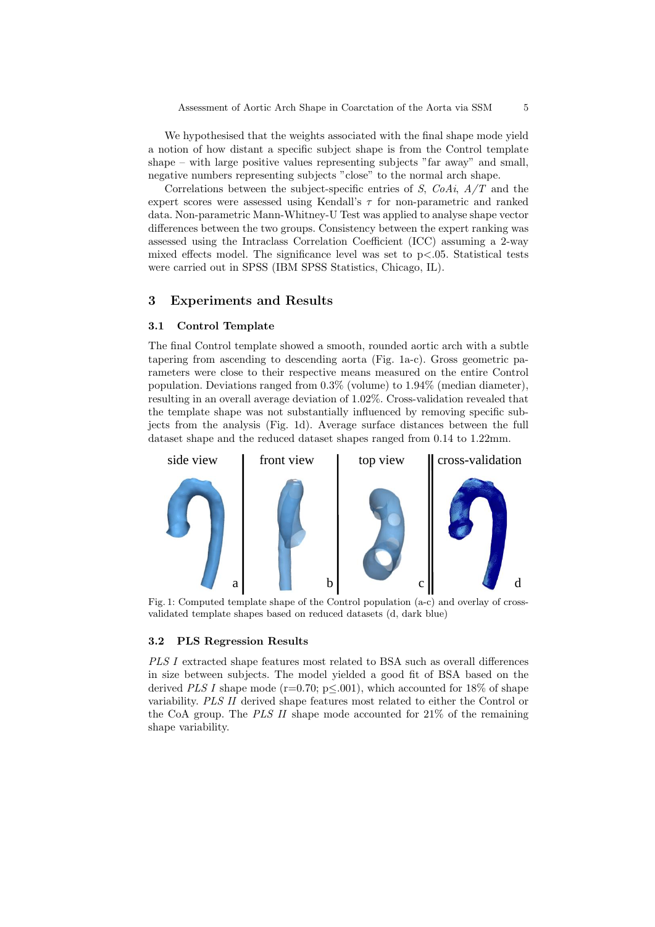We hypothesised that the weights associated with the final shape mode yield a notion of how distant a specific subject shape is from the Control template shape – with large positive values representing subjects "far away" and small, negative numbers representing subjects "close" to the normal arch shape.

Correlations between the subject-specific entries of S,  $CoAi$ ,  $A/T$  and the expert scores were assessed using Kendall's  $\tau$  for non-parametric and ranked data. Non-parametric Mann-Whitney-U Test was applied to analyse shape vector differences between the two groups. Consistency between the expert ranking was assessed using the Intraclass Correlation Coefficient (ICC) assuming a 2-way mixed effects model. The significance level was set to  $p<.05$ . Statistical tests were carried out in SPSS (IBM SPSS Statistics, Chicago, IL).

#### 3 Experiments and Results

#### 3.1 Control Template

The final Control template showed a smooth, rounded aortic arch with a subtle tapering from ascending to descending aorta (Fig. 1a-c). Gross geometric parameters were close to their respective means measured on the entire Control population. Deviations ranged from 0.3% (volume) to 1.94% (median diameter), resulting in an overall average deviation of 1.02%. Cross-validation revealed that the template shape was not substantially influenced by removing specific subjects from the analysis (Fig. 1d). Average surface distances between the full dataset shape and the reduced dataset shapes ranged from 0.14 to 1.22mm.



Fig. 1: Computed template shape of the Control population (a-c) and overlay of crossvalidated template shapes based on reduced datasets (d, dark blue)

#### 3.2 PLS Regression Results

PLS I extracted shape features most related to BSA such as overall differences in size between subjects. The model yielded a good fit of BSA based on the derived PLS I shape mode (r=0.70; p $\leq$ .001), which accounted for 18% of shape variability. PLS II derived shape features most related to either the Control or the CoA group. The PLS II shape mode accounted for 21% of the remaining shape variability.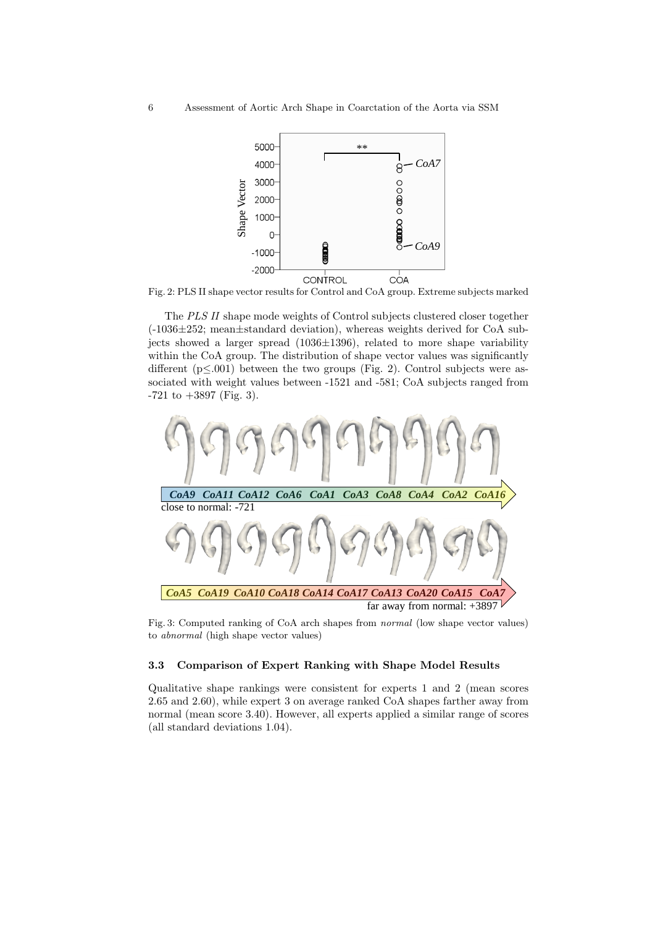

Fig. 2: PLS II shape vector results for Control and CoA group. Extreme subjects marked

The PLS II shape mode weights of Control subjects clustered closer together (-1036±252; mean±standard deviation), whereas weights derived for CoA subjects showed a larger spread  $(1036\pm1396)$ , related to more shape variability within the CoA group. The distribution of shape vector values was significantly different  $(p<.001)$  between the two groups (Fig. 2). Control subjects were associated with weight values between -1521 and -581; CoA subjects ranged from  $-721$  to  $+3897$  (Fig. 3).



Fig. 3: Computed ranking of CoA arch shapes from normal (low shape vector values) to abnormal (high shape vector values)

#### 3.3 Comparison of Expert Ranking with Shape Model Results

Qualitative shape rankings were consistent for experts 1 and 2 (mean scores 2.65 and 2.60), while expert 3 on average ranked CoA shapes farther away from normal (mean score 3.40). However, all experts applied a similar range of scores (all standard deviations 1.04).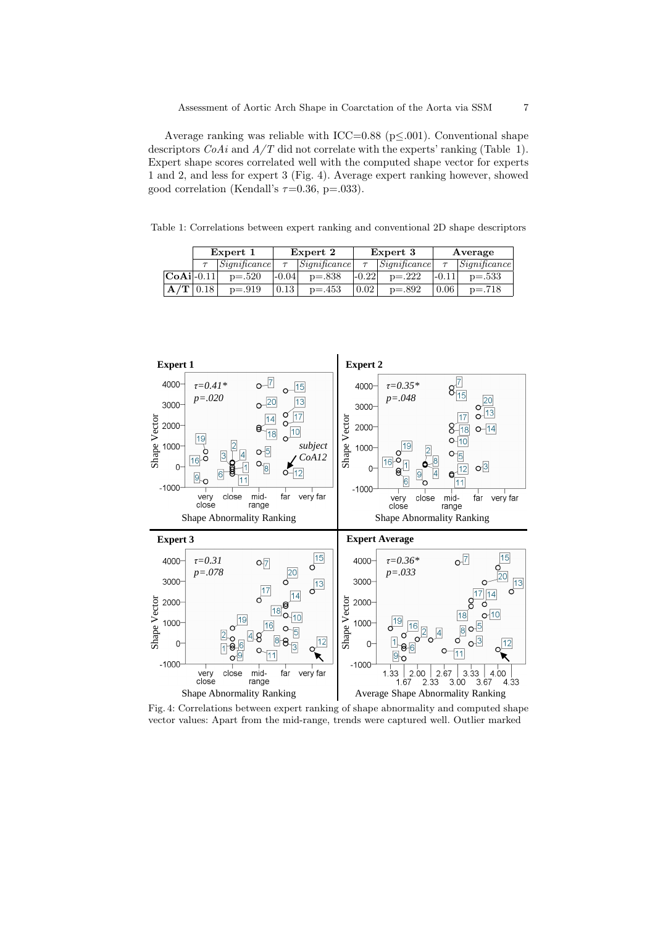Average ranking was reliable with ICC=0.88 ( $p \leq .001$ ). Conventional shape descriptors  $CoAi$  and  $A/T$  did not correlate with the experts' ranking (Table 1). Expert shape scores correlated well with the computed shape vector for experts 1 and 2, and less for expert 3 (Fig. 4). Average expert ranking however, showed good correlation (Kendall's  $\tau=0.36$ , p=.033).

Table 1: Correlations between expert ranking and conventional 2D shape descriptors

|               | Expert 1 |              | Expert 2 |                                   | Expert 3 |                              | Average |                                   |
|---------------|----------|--------------|----------|-----------------------------------|----------|------------------------------|---------|-----------------------------------|
|               |          | Sianificance |          | $\left {\it Significance}\right $ |          | $\left  Significance\right $ |         | $\left {\it Significance}\right $ |
| $ CoAi$ -0.11 |          | $p = .520$   | $-0.04$  | $p=.838$                          | $-0.22$  | $p = .222$                   | $-0.11$ | $p = .533$                        |
|               | 0.18     | $p = .919$   | 0.13     | $p = .453$                        | 0.02     | $p=.892$                     | 0.06    | $p=.718$                          |



Fig. 4: Correlations between expert ranking of shape abnormality and computed shape vector values: Apart from the mid-range, trends were captured well. Outlier marked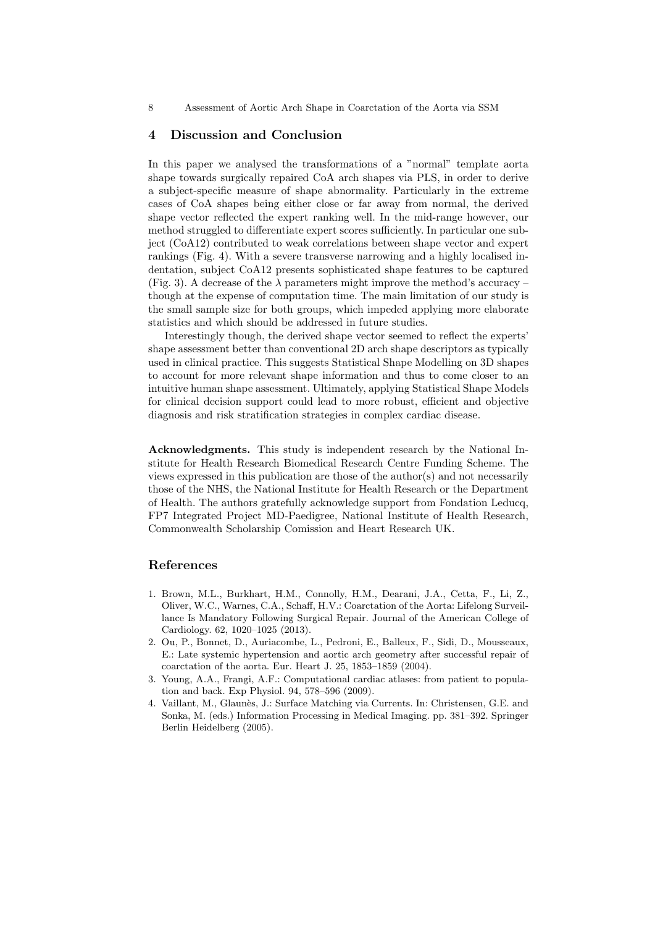8 Assessment of Aortic Arch Shape in Coarctation of the Aorta via SSM

## 4 Discussion and Conclusion

In this paper we analysed the transformations of a "normal" template aorta shape towards surgically repaired CoA arch shapes via PLS, in order to derive a subject-specific measure of shape abnormality. Particularly in the extreme cases of CoA shapes being either close or far away from normal, the derived shape vector reflected the expert ranking well. In the mid-range however, our method struggled to differentiate expert scores sufficiently. In particular one subject (CoA12) contributed to weak correlations between shape vector and expert rankings (Fig. 4). With a severe transverse narrowing and a highly localised indentation, subject CoA12 presents sophisticated shape features to be captured (Fig. 3). A decrease of the  $\lambda$  parameters might improve the method's accuracy – though at the expense of computation time. The main limitation of our study is the small sample size for both groups, which impeded applying more elaborate statistics and which should be addressed in future studies.

Interestingly though, the derived shape vector seemed to reflect the experts' shape assessment better than conventional 2D arch shape descriptors as typically used in clinical practice. This suggests Statistical Shape Modelling on 3D shapes to account for more relevant shape information and thus to come closer to an intuitive human shape assessment. Ultimately, applying Statistical Shape Models for clinical decision support could lead to more robust, efficient and objective diagnosis and risk stratification strategies in complex cardiac disease.

Acknowledgments. This study is independent research by the National Institute for Health Research Biomedical Research Centre Funding Scheme. The views expressed in this publication are those of the author(s) and not necessarily those of the NHS, the National Institute for Health Research or the Department of Health. The authors gratefully acknowledge support from Fondation Leducq, FP7 Integrated Project MD-Paedigree, National Institute of Health Research, Commonwealth Scholarship Comission and Heart Research UK.

#### References

- 1. Brown, M.L., Burkhart, H.M., Connolly, H.M., Dearani, J.A., Cetta, F., Li, Z., Oliver, W.C., Warnes, C.A., Schaff, H.V.: Coarctation of the Aorta: Lifelong Surveillance Is Mandatory Following Surgical Repair. Journal of the American College of Cardiology. 62, 1020–1025 (2013).
- 2. Ou, P., Bonnet, D., Auriacombe, L., Pedroni, E., Balleux, F., Sidi, D., Mousseaux, E.: Late systemic hypertension and aortic arch geometry after successful repair of coarctation of the aorta. Eur. Heart J. 25, 1853–1859 (2004).
- 3. Young, A.A., Frangi, A.F.: Computational cardiac atlases: from patient to population and back. Exp Physiol. 94, 578–596 (2009).
- 4. Vaillant, M., Glaun`es, J.: Surface Matching via Currents. In: Christensen, G.E. and Sonka, M. (eds.) Information Processing in Medical Imaging. pp. 381–392. Springer Berlin Heidelberg (2005).